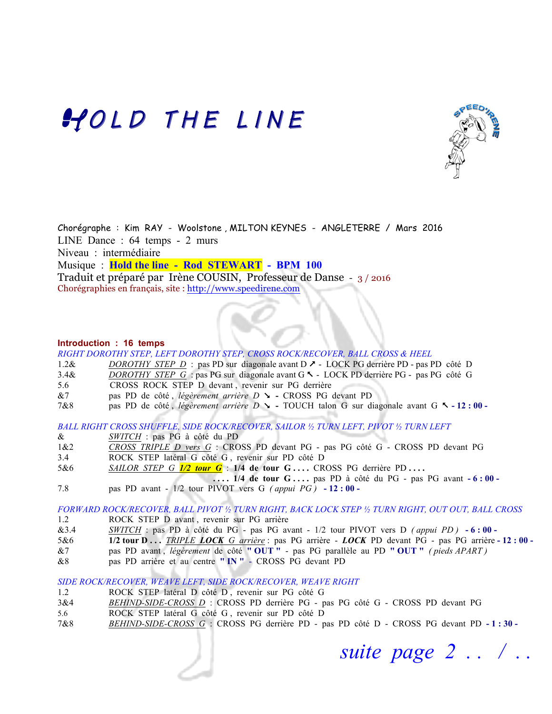## HOLD THE LINE



Chorégraphe : Kim RAY - Woolstone , MILTON KEYNES - ANGLETERRE / Mars 2016 LINE Dance : 64 temps - 2 murs Niveau : intermédiaire Musique : **Hold the line - Rod STEWART - BPM 100**  Traduit et préparé par Irène COUSIN, Professeur de Danse - 3 / 2016 Chorégraphies en français, site : http://www.speedirene.com

### **Introduction : 16 temps**

|         | RIGHT DOROTHY STEP, LEFT DOROTHY STEP, CROSS ROCK/RECOVER, BALL CROSS & HEEL                           |
|---------|--------------------------------------------------------------------------------------------------------|
| $1.2\&$ | <i>DOROTHY STEP D</i> : pas PD sur diagonale avant $D \rightarrow$ LOCK PG derrière PD - pas PD côté D |
| 3.4&    | DOROTHY STEP G : pas PG sur diagonale avant G \varm - LOCK PD derrière PG - pas PG côté G              |
| 5.6     | CROSS ROCK STEP D devant, revenir sur PG derrière                                                      |
|         |                                                                                                        |

- &7 pas PD de côté, *légèrement arrière D*  $\sim$  CROSS PG devant PD
- 7&8 pas PD de côté, *légèrement arrière D*  $\blacktriangleright$  TOUCH talon G sur diagonale avant G  $\blacktriangle$  12 **: 00** -

*BALL RIGHT CROSS SHUFFLE, SIDE ROCK/RECOVER, SAILOR ½ TURN LEFT, PIVOT ½ TURN LEFT*

- & *SWITCH* : pas PG à côté du PD
- 1&2 *CROSS TRIPLE D vers G* :CROSS PD devant PG pas PG côté G CROSS PD devant PG
- 3.4 ROCK STEP latéral G côté G , revenir sur PD côté D
- 5&6 *SAILOR STEP G 1/2 tour G* :**1/4 de tour G . . . .** CROSS PG derrière PD **. . . .**
	- **.... 1/4 de tour G....** pas PD à côté du PG pas PG avant  $-6:00-$
- 7.8 pas PD avant 1/2 tour PIVOT vers G *( appui PG )* **- 12 : 00**

*FORWARD ROCK/RECOVER, BALL PIVOT ½ TURN RIGHT, BACK LOCK STEP ½ TURN RIGHT, OUT OUT, BALL CROSS*

- 1.2 ROCK STEP D avant, revenir sur PG arrière
- &3.4 *SWITCH* : pas PD à côté du PG pas PG avant 1/2 tour PIVOT vers D *( appui PD )* **- 6 : 00**
- 5&6 **1/2 tour D . . .** *TRIPLE LOCK G arrière* : pas PG arrière *LOCK* PD devant PG pas PG arrière **- 12 : 00**
- &7 pas PD avant , *légèrement* de côté **" OUT "**  pas PG parallèle au PD **" OUT "** *( pieds APART )*
- &8 pas PD arrière et au centre **" IN "**  CROSS PG devant PD

*SIDE ROCK/RECOVER, WEAVE LEFT, SIDE ROCK/RECOVER, WEAVE RIGHT*

- 1.2 ROCK STEP latéral D côté D , revenir sur PG côté G
- 3&4 *BEHIND-SIDE-CROSS D* : CROSS PD derrière PG pas PG côté G CROSS PD devant PG
- 5.6 ROCK STEP latéral G côté G , revenir sur PD côté D
- 7&8 *BEHIND-SIDE-CROSS G* :CROSS PG derrière PD pas PD côté D CROSS PG devant PD **- 1 : 30**

 *suite page 2 . . / . . .*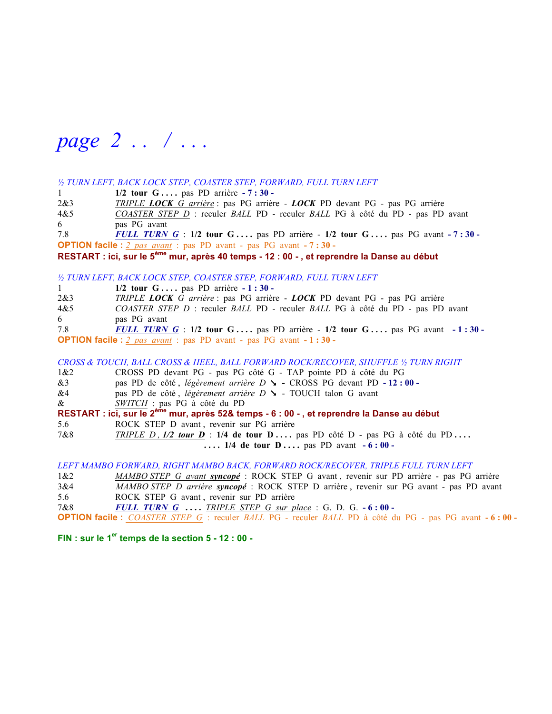*page 2 . . / . . .*

#### *½ TURN LEFT, BACK LOCK STEP, COASTER STEP, FORWARD, FULL TURN LEFT*

1 **1/2 tour G . . . .** pas PD arrière **- 7 : 30 -** 

2&3 *TRIPLE LOCK G arrière* : pas PG arrière - *LOCK* PD devant PG - pas PG arrière 4&5 *COASTER STEP D* : reculer *BALL* PD - reculer *BALL* PG à côté du PD - pas PD avant 6 pas PG avant

7.8 *FULL TURN G* : **1/2 tour G . . . .** pas PD arrière - **1/2 tour G . . . .** pas PG avant **- 7 : 30 - OPTION facile :**  $2$  pas avant : pas PD avant - pas PG avant - **7 : 30** -

**RESTART : ici, sur le 5ème mur, après 40 temps - 12 : 00 - , et reprendre la Danse au début**

#### *½ TURN LEFT, BACK LOCK STEP, COASTER STEP, FORWARD, FULL TURN LEFT*

| 1                                                                           | $1/2$ tour G pas PD arrière $-1:30$                                              |  |  |
|-----------------------------------------------------------------------------|----------------------------------------------------------------------------------|--|--|
| 2&3                                                                         | TRIPLE LOCK G arrière : pas PG arrière - LOCK PD devant PG - pas PG arrière      |  |  |
| 4&5                                                                         | COASTER STEP D : reculer BALL PD - reculer BALL PG à côté du PD - pas PD avant   |  |  |
| 6                                                                           | pas PG avant                                                                     |  |  |
| 7.8                                                                         | <b>FULL TURN G</b> : 1/2 tour G pas PD arrière - 1/2 tour G pas PG avant -1:30 - |  |  |
| <b>OPTION facile</b> : $2$ pas avant : pas PD avant - pas PG avant $-1:30-$ |                                                                                  |  |  |

*CROSS & TOUCH, BALL CROSS & HEEL, BALL FORWARD ROCK/RECOVER, SHUFFLE ½ TURN RIGHT*

- 1&2 CROSS PD devant PG pas PG côté G TAP pointe PD à côté du PG
- &3 pas PD de côté , *légèrement arrière D* (CROSS PG devant PD **- 12 : 00**
- &4 pas PD de côté , *légèrement arrière D* ( TOUCH talon G avant
- & *SWITCH* : pas PG à côté du PD

```
RESTART : ici, sur le 2ème mur, après 52& temps - 6 : 00 - , et reprendre la Danse au début
```
5.6 ROCK STEP D avant , revenir sur PG arrière

7&8 *TRIPLE D , 1/2 tour D* : **1/4 de tour D . . . .** pas PD côté D - pas PG à côté du PD **. . . . ....** 1/4 de tour **D** .... pas PD avant  $-6:00-$ 

*LEFT MAMBO FORWARD, RIGHT MAMBO BACK, FORWARD ROCK/RECOVER, TRIPLE FULL TURN LEFT*

- 1&2 *MAMBO STEP G avant syncopé* : ROCK STEP G avant , revenir sur PD arrière pas PG arrière
- 3&4 *MAMBO STEP D arrière syncopé* : ROCK STEP D arrière , revenir sur PG avant pas PD avant
- 5.6 ROCK STEP G avant , revenir sur PD arrière
- 7&8 *FULL TURN G* **. . . .** *TRIPLE STEP G sur place* :G. D. G. **- 6 : 00**
- **OPTION facile :** *COASTER STEP G* : reculer *BALL* PG reculer *BALL* PD à côté du PG pas PG avant **- 6 : 00**

**FIN : sur le 1er temps de la section 5 - 12 : 00 -**